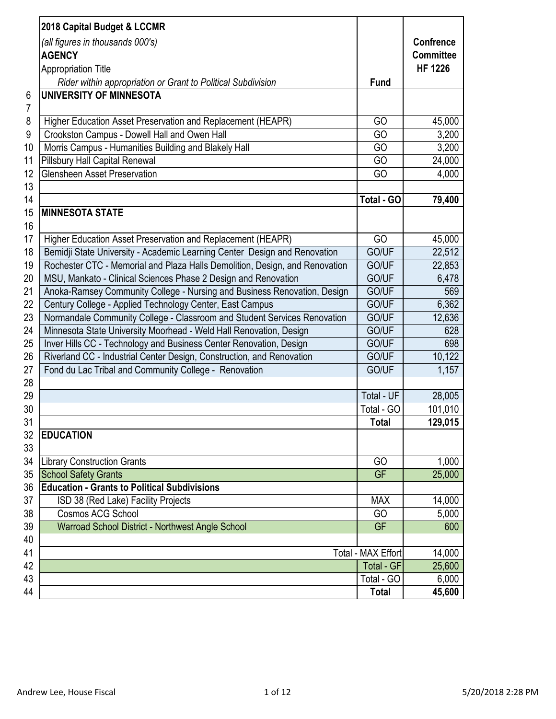| <b>Confrence</b><br>(all figures in thousands 000's)<br><b>Committee</b><br><b>AGENCY</b><br><b>HF 1226</b><br><b>Appropriation Title</b><br>Rider within appropriation or Grant to Political Subdivision<br><b>Fund</b><br>UNIVERSITY OF MINNESOTA<br>6<br>7<br>8<br>Higher Education Asset Preservation and Replacement (HEAPR)<br>GO<br>45,000<br>9<br>Crookston Campus - Dowell Hall and Owen Hall<br>GO<br>3,200<br>Morris Campus - Humanities Building and Blakely Hall<br>10<br>GO<br>3,200<br>11<br><b>Pillsbury Hall Capital Renewal</b><br>24,000<br>GO<br>12<br><b>Glensheen Asset Preservation</b><br>GO<br>4,000<br>13<br>14<br>Total - GO<br>79,400<br>15<br><b>MINNESOTA STATE</b><br>16<br>17<br>GO<br>45,000<br>Higher Education Asset Preservation and Replacement (HEAPR)<br>18<br>Bemidji State University - Academic Learning Center Design and Renovation<br>GO/UF<br>19<br>Rochester CTC - Memorial and Plaza Halls Demolition, Design, and Renovation<br>GO/UF<br>22,853<br>20<br>MSU, Mankato - Clinical Sciences Phase 2 Design and Renovation<br>GO/UF<br>6,478<br>21<br>Anoka-Ramsey Community College - Nursing and Business Renovation, Design<br>GO/UF<br>569<br>22<br>Century College - Applied Technology Center, East Campus<br>GO/UF<br>6,362<br>23<br>Normandale Community College - Classroom and Student Services Renovation<br>GO/UF<br>12,636<br>24<br>Minnesota State University Moorhead - Weld Hall Renovation, Design<br>GO/UF<br>628<br>25<br>Inver Hills CC - Technology and Business Center Renovation, Design<br>GO/UF<br>698<br>26<br>Riverland CC - Industrial Center Design, Construction, and Renovation<br>GO/UF<br>10,122<br>27<br>Fond du Lac Tribal and Community College - Renovation<br>GO/UF<br>1,157<br>28<br>29<br>28,005<br>Total - UF<br>30<br>Total - GO<br>101,010<br>31<br><b>Total</b><br>32<br><b>EDUCATION</b><br>33<br>34<br>1,000<br><b>Library Construction Grants</b><br>GO<br>35<br><b>GF</b><br><b>School Safety Grants</b><br>25,000<br><b>Education - Grants to Political Subdivisions</b><br>36<br>37<br>14,000<br>ISD 38 (Red Lake) Facility Projects<br><b>MAX</b><br>38<br><b>Cosmos ACG School</b><br>5,000<br>GO<br>39<br>Warroad School District - Northwest Angle School<br><b>GF</b><br>600<br>40<br>41<br>Total - MAX Effort<br>14,000<br>42<br><b>Total - GF</b><br>25,600<br>43<br>Total - GO<br>6,000<br>44<br><b>Total</b><br>45,600 |                             |         |
|---------------------------------------------------------------------------------------------------------------------------------------------------------------------------------------------------------------------------------------------------------------------------------------------------------------------------------------------------------------------------------------------------------------------------------------------------------------------------------------------------------------------------------------------------------------------------------------------------------------------------------------------------------------------------------------------------------------------------------------------------------------------------------------------------------------------------------------------------------------------------------------------------------------------------------------------------------------------------------------------------------------------------------------------------------------------------------------------------------------------------------------------------------------------------------------------------------------------------------------------------------------------------------------------------------------------------------------------------------------------------------------------------------------------------------------------------------------------------------------------------------------------------------------------------------------------------------------------------------------------------------------------------------------------------------------------------------------------------------------------------------------------------------------------------------------------------------------------------------------------------------------------------------------------------------------------------------------------------------------------------------------------------------------------------------------------------------------------------------------------------------------------------------------------------------------------------------------------------------------------------------------------------------------------------------------------------------------------------------------------------------------------------------------------------------|-----------------------------|---------|
|                                                                                                                                                                                                                                                                                                                                                                                                                                                                                                                                                                                                                                                                                                                                                                                                                                                                                                                                                                                                                                                                                                                                                                                                                                                                                                                                                                                                                                                                                                                                                                                                                                                                                                                                                                                                                                                                                                                                                                                                                                                                                                                                                                                                                                                                                                                                                                                                                                 | 2018 Capital Budget & LCCMR |         |
|                                                                                                                                                                                                                                                                                                                                                                                                                                                                                                                                                                                                                                                                                                                                                                                                                                                                                                                                                                                                                                                                                                                                                                                                                                                                                                                                                                                                                                                                                                                                                                                                                                                                                                                                                                                                                                                                                                                                                                                                                                                                                                                                                                                                                                                                                                                                                                                                                                 |                             |         |
|                                                                                                                                                                                                                                                                                                                                                                                                                                                                                                                                                                                                                                                                                                                                                                                                                                                                                                                                                                                                                                                                                                                                                                                                                                                                                                                                                                                                                                                                                                                                                                                                                                                                                                                                                                                                                                                                                                                                                                                                                                                                                                                                                                                                                                                                                                                                                                                                                                 |                             |         |
|                                                                                                                                                                                                                                                                                                                                                                                                                                                                                                                                                                                                                                                                                                                                                                                                                                                                                                                                                                                                                                                                                                                                                                                                                                                                                                                                                                                                                                                                                                                                                                                                                                                                                                                                                                                                                                                                                                                                                                                                                                                                                                                                                                                                                                                                                                                                                                                                                                 |                             |         |
|                                                                                                                                                                                                                                                                                                                                                                                                                                                                                                                                                                                                                                                                                                                                                                                                                                                                                                                                                                                                                                                                                                                                                                                                                                                                                                                                                                                                                                                                                                                                                                                                                                                                                                                                                                                                                                                                                                                                                                                                                                                                                                                                                                                                                                                                                                                                                                                                                                 |                             |         |
|                                                                                                                                                                                                                                                                                                                                                                                                                                                                                                                                                                                                                                                                                                                                                                                                                                                                                                                                                                                                                                                                                                                                                                                                                                                                                                                                                                                                                                                                                                                                                                                                                                                                                                                                                                                                                                                                                                                                                                                                                                                                                                                                                                                                                                                                                                                                                                                                                                 |                             |         |
|                                                                                                                                                                                                                                                                                                                                                                                                                                                                                                                                                                                                                                                                                                                                                                                                                                                                                                                                                                                                                                                                                                                                                                                                                                                                                                                                                                                                                                                                                                                                                                                                                                                                                                                                                                                                                                                                                                                                                                                                                                                                                                                                                                                                                                                                                                                                                                                                                                 |                             |         |
|                                                                                                                                                                                                                                                                                                                                                                                                                                                                                                                                                                                                                                                                                                                                                                                                                                                                                                                                                                                                                                                                                                                                                                                                                                                                                                                                                                                                                                                                                                                                                                                                                                                                                                                                                                                                                                                                                                                                                                                                                                                                                                                                                                                                                                                                                                                                                                                                                                 |                             |         |
|                                                                                                                                                                                                                                                                                                                                                                                                                                                                                                                                                                                                                                                                                                                                                                                                                                                                                                                                                                                                                                                                                                                                                                                                                                                                                                                                                                                                                                                                                                                                                                                                                                                                                                                                                                                                                                                                                                                                                                                                                                                                                                                                                                                                                                                                                                                                                                                                                                 |                             |         |
|                                                                                                                                                                                                                                                                                                                                                                                                                                                                                                                                                                                                                                                                                                                                                                                                                                                                                                                                                                                                                                                                                                                                                                                                                                                                                                                                                                                                                                                                                                                                                                                                                                                                                                                                                                                                                                                                                                                                                                                                                                                                                                                                                                                                                                                                                                                                                                                                                                 |                             |         |
|                                                                                                                                                                                                                                                                                                                                                                                                                                                                                                                                                                                                                                                                                                                                                                                                                                                                                                                                                                                                                                                                                                                                                                                                                                                                                                                                                                                                                                                                                                                                                                                                                                                                                                                                                                                                                                                                                                                                                                                                                                                                                                                                                                                                                                                                                                                                                                                                                                 |                             |         |
|                                                                                                                                                                                                                                                                                                                                                                                                                                                                                                                                                                                                                                                                                                                                                                                                                                                                                                                                                                                                                                                                                                                                                                                                                                                                                                                                                                                                                                                                                                                                                                                                                                                                                                                                                                                                                                                                                                                                                                                                                                                                                                                                                                                                                                                                                                                                                                                                                                 |                             |         |
|                                                                                                                                                                                                                                                                                                                                                                                                                                                                                                                                                                                                                                                                                                                                                                                                                                                                                                                                                                                                                                                                                                                                                                                                                                                                                                                                                                                                                                                                                                                                                                                                                                                                                                                                                                                                                                                                                                                                                                                                                                                                                                                                                                                                                                                                                                                                                                                                                                 |                             |         |
|                                                                                                                                                                                                                                                                                                                                                                                                                                                                                                                                                                                                                                                                                                                                                                                                                                                                                                                                                                                                                                                                                                                                                                                                                                                                                                                                                                                                                                                                                                                                                                                                                                                                                                                                                                                                                                                                                                                                                                                                                                                                                                                                                                                                                                                                                                                                                                                                                                 |                             |         |
|                                                                                                                                                                                                                                                                                                                                                                                                                                                                                                                                                                                                                                                                                                                                                                                                                                                                                                                                                                                                                                                                                                                                                                                                                                                                                                                                                                                                                                                                                                                                                                                                                                                                                                                                                                                                                                                                                                                                                                                                                                                                                                                                                                                                                                                                                                                                                                                                                                 |                             |         |
|                                                                                                                                                                                                                                                                                                                                                                                                                                                                                                                                                                                                                                                                                                                                                                                                                                                                                                                                                                                                                                                                                                                                                                                                                                                                                                                                                                                                                                                                                                                                                                                                                                                                                                                                                                                                                                                                                                                                                                                                                                                                                                                                                                                                                                                                                                                                                                                                                                 |                             |         |
|                                                                                                                                                                                                                                                                                                                                                                                                                                                                                                                                                                                                                                                                                                                                                                                                                                                                                                                                                                                                                                                                                                                                                                                                                                                                                                                                                                                                                                                                                                                                                                                                                                                                                                                                                                                                                                                                                                                                                                                                                                                                                                                                                                                                                                                                                                                                                                                                                                 |                             |         |
|                                                                                                                                                                                                                                                                                                                                                                                                                                                                                                                                                                                                                                                                                                                                                                                                                                                                                                                                                                                                                                                                                                                                                                                                                                                                                                                                                                                                                                                                                                                                                                                                                                                                                                                                                                                                                                                                                                                                                                                                                                                                                                                                                                                                                                                                                                                                                                                                                                 |                             | 22,512  |
|                                                                                                                                                                                                                                                                                                                                                                                                                                                                                                                                                                                                                                                                                                                                                                                                                                                                                                                                                                                                                                                                                                                                                                                                                                                                                                                                                                                                                                                                                                                                                                                                                                                                                                                                                                                                                                                                                                                                                                                                                                                                                                                                                                                                                                                                                                                                                                                                                                 |                             |         |
|                                                                                                                                                                                                                                                                                                                                                                                                                                                                                                                                                                                                                                                                                                                                                                                                                                                                                                                                                                                                                                                                                                                                                                                                                                                                                                                                                                                                                                                                                                                                                                                                                                                                                                                                                                                                                                                                                                                                                                                                                                                                                                                                                                                                                                                                                                                                                                                                                                 |                             |         |
|                                                                                                                                                                                                                                                                                                                                                                                                                                                                                                                                                                                                                                                                                                                                                                                                                                                                                                                                                                                                                                                                                                                                                                                                                                                                                                                                                                                                                                                                                                                                                                                                                                                                                                                                                                                                                                                                                                                                                                                                                                                                                                                                                                                                                                                                                                                                                                                                                                 |                             |         |
|                                                                                                                                                                                                                                                                                                                                                                                                                                                                                                                                                                                                                                                                                                                                                                                                                                                                                                                                                                                                                                                                                                                                                                                                                                                                                                                                                                                                                                                                                                                                                                                                                                                                                                                                                                                                                                                                                                                                                                                                                                                                                                                                                                                                                                                                                                                                                                                                                                 |                             |         |
|                                                                                                                                                                                                                                                                                                                                                                                                                                                                                                                                                                                                                                                                                                                                                                                                                                                                                                                                                                                                                                                                                                                                                                                                                                                                                                                                                                                                                                                                                                                                                                                                                                                                                                                                                                                                                                                                                                                                                                                                                                                                                                                                                                                                                                                                                                                                                                                                                                 |                             |         |
|                                                                                                                                                                                                                                                                                                                                                                                                                                                                                                                                                                                                                                                                                                                                                                                                                                                                                                                                                                                                                                                                                                                                                                                                                                                                                                                                                                                                                                                                                                                                                                                                                                                                                                                                                                                                                                                                                                                                                                                                                                                                                                                                                                                                                                                                                                                                                                                                                                 |                             |         |
|                                                                                                                                                                                                                                                                                                                                                                                                                                                                                                                                                                                                                                                                                                                                                                                                                                                                                                                                                                                                                                                                                                                                                                                                                                                                                                                                                                                                                                                                                                                                                                                                                                                                                                                                                                                                                                                                                                                                                                                                                                                                                                                                                                                                                                                                                                                                                                                                                                 |                             |         |
|                                                                                                                                                                                                                                                                                                                                                                                                                                                                                                                                                                                                                                                                                                                                                                                                                                                                                                                                                                                                                                                                                                                                                                                                                                                                                                                                                                                                                                                                                                                                                                                                                                                                                                                                                                                                                                                                                                                                                                                                                                                                                                                                                                                                                                                                                                                                                                                                                                 |                             |         |
|                                                                                                                                                                                                                                                                                                                                                                                                                                                                                                                                                                                                                                                                                                                                                                                                                                                                                                                                                                                                                                                                                                                                                                                                                                                                                                                                                                                                                                                                                                                                                                                                                                                                                                                                                                                                                                                                                                                                                                                                                                                                                                                                                                                                                                                                                                                                                                                                                                 |                             |         |
|                                                                                                                                                                                                                                                                                                                                                                                                                                                                                                                                                                                                                                                                                                                                                                                                                                                                                                                                                                                                                                                                                                                                                                                                                                                                                                                                                                                                                                                                                                                                                                                                                                                                                                                                                                                                                                                                                                                                                                                                                                                                                                                                                                                                                                                                                                                                                                                                                                 |                             |         |
|                                                                                                                                                                                                                                                                                                                                                                                                                                                                                                                                                                                                                                                                                                                                                                                                                                                                                                                                                                                                                                                                                                                                                                                                                                                                                                                                                                                                                                                                                                                                                                                                                                                                                                                                                                                                                                                                                                                                                                                                                                                                                                                                                                                                                                                                                                                                                                                                                                 |                             |         |
|                                                                                                                                                                                                                                                                                                                                                                                                                                                                                                                                                                                                                                                                                                                                                                                                                                                                                                                                                                                                                                                                                                                                                                                                                                                                                                                                                                                                                                                                                                                                                                                                                                                                                                                                                                                                                                                                                                                                                                                                                                                                                                                                                                                                                                                                                                                                                                                                                                 |                             |         |
|                                                                                                                                                                                                                                                                                                                                                                                                                                                                                                                                                                                                                                                                                                                                                                                                                                                                                                                                                                                                                                                                                                                                                                                                                                                                                                                                                                                                                                                                                                                                                                                                                                                                                                                                                                                                                                                                                                                                                                                                                                                                                                                                                                                                                                                                                                                                                                                                                                 |                             | 129,015 |
|                                                                                                                                                                                                                                                                                                                                                                                                                                                                                                                                                                                                                                                                                                                                                                                                                                                                                                                                                                                                                                                                                                                                                                                                                                                                                                                                                                                                                                                                                                                                                                                                                                                                                                                                                                                                                                                                                                                                                                                                                                                                                                                                                                                                                                                                                                                                                                                                                                 |                             |         |
|                                                                                                                                                                                                                                                                                                                                                                                                                                                                                                                                                                                                                                                                                                                                                                                                                                                                                                                                                                                                                                                                                                                                                                                                                                                                                                                                                                                                                                                                                                                                                                                                                                                                                                                                                                                                                                                                                                                                                                                                                                                                                                                                                                                                                                                                                                                                                                                                                                 |                             |         |
|                                                                                                                                                                                                                                                                                                                                                                                                                                                                                                                                                                                                                                                                                                                                                                                                                                                                                                                                                                                                                                                                                                                                                                                                                                                                                                                                                                                                                                                                                                                                                                                                                                                                                                                                                                                                                                                                                                                                                                                                                                                                                                                                                                                                                                                                                                                                                                                                                                 |                             |         |
|                                                                                                                                                                                                                                                                                                                                                                                                                                                                                                                                                                                                                                                                                                                                                                                                                                                                                                                                                                                                                                                                                                                                                                                                                                                                                                                                                                                                                                                                                                                                                                                                                                                                                                                                                                                                                                                                                                                                                                                                                                                                                                                                                                                                                                                                                                                                                                                                                                 |                             |         |
|                                                                                                                                                                                                                                                                                                                                                                                                                                                                                                                                                                                                                                                                                                                                                                                                                                                                                                                                                                                                                                                                                                                                                                                                                                                                                                                                                                                                                                                                                                                                                                                                                                                                                                                                                                                                                                                                                                                                                                                                                                                                                                                                                                                                                                                                                                                                                                                                                                 |                             |         |
|                                                                                                                                                                                                                                                                                                                                                                                                                                                                                                                                                                                                                                                                                                                                                                                                                                                                                                                                                                                                                                                                                                                                                                                                                                                                                                                                                                                                                                                                                                                                                                                                                                                                                                                                                                                                                                                                                                                                                                                                                                                                                                                                                                                                                                                                                                                                                                                                                                 |                             |         |
|                                                                                                                                                                                                                                                                                                                                                                                                                                                                                                                                                                                                                                                                                                                                                                                                                                                                                                                                                                                                                                                                                                                                                                                                                                                                                                                                                                                                                                                                                                                                                                                                                                                                                                                                                                                                                                                                                                                                                                                                                                                                                                                                                                                                                                                                                                                                                                                                                                 |                             |         |
|                                                                                                                                                                                                                                                                                                                                                                                                                                                                                                                                                                                                                                                                                                                                                                                                                                                                                                                                                                                                                                                                                                                                                                                                                                                                                                                                                                                                                                                                                                                                                                                                                                                                                                                                                                                                                                                                                                                                                                                                                                                                                                                                                                                                                                                                                                                                                                                                                                 |                             |         |
|                                                                                                                                                                                                                                                                                                                                                                                                                                                                                                                                                                                                                                                                                                                                                                                                                                                                                                                                                                                                                                                                                                                                                                                                                                                                                                                                                                                                                                                                                                                                                                                                                                                                                                                                                                                                                                                                                                                                                                                                                                                                                                                                                                                                                                                                                                                                                                                                                                 |                             |         |
|                                                                                                                                                                                                                                                                                                                                                                                                                                                                                                                                                                                                                                                                                                                                                                                                                                                                                                                                                                                                                                                                                                                                                                                                                                                                                                                                                                                                                                                                                                                                                                                                                                                                                                                                                                                                                                                                                                                                                                                                                                                                                                                                                                                                                                                                                                                                                                                                                                 |                             |         |
|                                                                                                                                                                                                                                                                                                                                                                                                                                                                                                                                                                                                                                                                                                                                                                                                                                                                                                                                                                                                                                                                                                                                                                                                                                                                                                                                                                                                                                                                                                                                                                                                                                                                                                                                                                                                                                                                                                                                                                                                                                                                                                                                                                                                                                                                                                                                                                                                                                 |                             |         |
|                                                                                                                                                                                                                                                                                                                                                                                                                                                                                                                                                                                                                                                                                                                                                                                                                                                                                                                                                                                                                                                                                                                                                                                                                                                                                                                                                                                                                                                                                                                                                                                                                                                                                                                                                                                                                                                                                                                                                                                                                                                                                                                                                                                                                                                                                                                                                                                                                                 |                             |         |
|                                                                                                                                                                                                                                                                                                                                                                                                                                                                                                                                                                                                                                                                                                                                                                                                                                                                                                                                                                                                                                                                                                                                                                                                                                                                                                                                                                                                                                                                                                                                                                                                                                                                                                                                                                                                                                                                                                                                                                                                                                                                                                                                                                                                                                                                                                                                                                                                                                 |                             |         |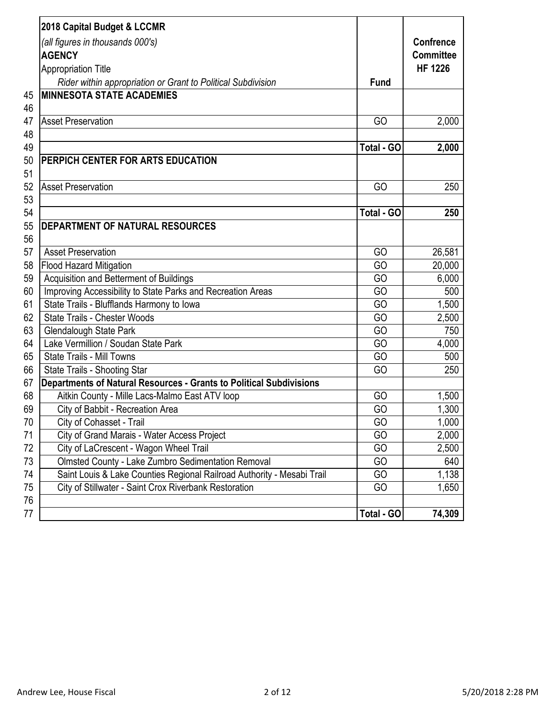| 2018 Capital Budget & LCCMR<br>(all figures in thousands 000's)<br><b>AGENCY</b><br><b>Appropriation Title</b><br>Rider within appropriation or Grant to Political Subdivision | <b>Fund</b>       | <b>Confrence</b><br><b>Committee</b><br><b>HF 1226</b> |
|--------------------------------------------------------------------------------------------------------------------------------------------------------------------------------|-------------------|--------------------------------------------------------|
| <b>MINNESOTA STATE ACADEMIES</b>                                                                                                                                               |                   |                                                        |
|                                                                                                                                                                                |                   |                                                        |
| <b>Asset Preservation</b>                                                                                                                                                      | GO                | 2,000                                                  |
| 48                                                                                                                                                                             |                   |                                                        |
|                                                                                                                                                                                | Total - GO        | 2,000                                                  |
| PERPICH CENTER FOR ARTS EDUCATION                                                                                                                                              |                   |                                                        |
|                                                                                                                                                                                |                   |                                                        |
| <b>Asset Preservation</b>                                                                                                                                                      | GO                | 250                                                    |
| 53                                                                                                                                                                             |                   |                                                        |
| 54                                                                                                                                                                             | <b>Total - GO</b> | 250                                                    |
| <b>DEPARTMENT OF NATURAL RESOURCES</b>                                                                                                                                         |                   |                                                        |
| 56                                                                                                                                                                             |                   |                                                        |
| <b>Asset Preservation</b>                                                                                                                                                      | GO                | 26,581                                                 |
| 58<br>Flood Hazard Mitigation                                                                                                                                                  | GO                | 20,000                                                 |
| Acquisition and Betterment of Buildings                                                                                                                                        | GO                | 6,000                                                  |
| Improving Accessibility to State Parks and Recreation Areas                                                                                                                    | GO                | 500                                                    |
| State Trails - Blufflands Harmony to lowa                                                                                                                                      | GO                | 1,500                                                  |
| 62<br><b>State Trails - Chester Woods</b>                                                                                                                                      | GO                | 2,500                                                  |
| 63<br>Glendalough State Park                                                                                                                                                   | GO                | 750                                                    |
| Lake Vermillion / Soudan State Park<br>64                                                                                                                                      | GO                | 4,000                                                  |
| 65<br><b>State Trails - Mill Towns</b>                                                                                                                                         | GO                | 500                                                    |
| 66<br>State Trails - Shooting Star                                                                                                                                             | GO                | 250                                                    |
| Departments of Natural Resources - Grants to Political Subdivisions                                                                                                            |                   |                                                        |
| 68<br>Aitkin County - Mille Lacs-Malmo East ATV loop                                                                                                                           | GO                | 1,500                                                  |
| 69<br>City of Babbit - Recreation Area                                                                                                                                         | GO                | 1,300                                                  |
| 70<br>City of Cohasset - Trail                                                                                                                                                 | GO                | 1,000                                                  |
| City of Grand Marais - Water Access Project<br>71                                                                                                                              | GO                | 2,000                                                  |
| City of LaCrescent - Wagon Wheel Trail<br>72                                                                                                                                   | GO                | 2,500                                                  |
| 73<br>Olmsted County - Lake Zumbro Sedimentation Removal                                                                                                                       | GO                | 640                                                    |
| Saint Louis & Lake Counties Regional Railroad Authority - Mesabi Trail<br>74                                                                                                   | GO                | 1,138                                                  |
| City of Stillwater - Saint Crox Riverbank Restoration<br>75                                                                                                                    | GO                | 1,650                                                  |
| 76                                                                                                                                                                             |                   |                                                        |
| 77                                                                                                                                                                             | Total - GO        | 74,309                                                 |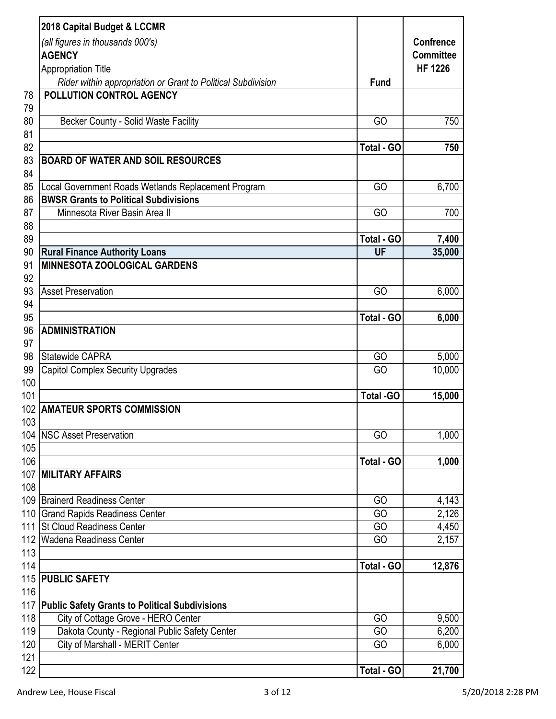|     | 2018 Capital Budget & LCCMR                                                                |                  |                                      |
|-----|--------------------------------------------------------------------------------------------|------------------|--------------------------------------|
|     | (all figures in thousands 000's)<br><b>AGENCY</b>                                          |                  | <b>Confrence</b><br><b>Committee</b> |
|     |                                                                                            |                  | <b>HF 1226</b>                       |
|     | <b>Appropriation Title</b><br>Rider within appropriation or Grant to Political Subdivision | <b>Fund</b>      |                                      |
| 78  | POLLUTION CONTROL AGENCY                                                                   |                  |                                      |
| 79  |                                                                                            |                  |                                      |
| 80  | Becker County - Solid Waste Facility                                                       | GO               | 750                                  |
| 81  |                                                                                            |                  |                                      |
| 82  |                                                                                            | Total - GO       | 750                                  |
| 83  | <b>BOARD OF WATER AND SOIL RESOURCES</b>                                                   |                  |                                      |
| 84  |                                                                                            |                  |                                      |
| 85  | Local Government Roads Wetlands Replacement Program                                        | GO               | 6,700                                |
| 86  | <b>BWSR Grants to Political Subdivisions</b>                                               |                  |                                      |
| 87  | Minnesota River Basin Area II                                                              | GO               | 700                                  |
| 88  |                                                                                            |                  |                                      |
| 89  |                                                                                            | Total - GO       | 7,400                                |
| 90  | <b>Rural Finance Authority Loans</b>                                                       | UF               | 35,000                               |
| 91  | <b>MINNESOTA ZOOLOGICAL GARDENS</b>                                                        |                  |                                      |
| 92  |                                                                                            |                  |                                      |
| 93  | <b>Asset Preservation</b>                                                                  | GO               | 6,000                                |
| 94  |                                                                                            |                  |                                      |
| 95  |                                                                                            | Total - GO       | 6,000                                |
| 96  | <b>ADMINISTRATION</b>                                                                      |                  |                                      |
| 97  |                                                                                            |                  |                                      |
| 98  | <b>Statewide CAPRA</b>                                                                     | GO               | 5,000                                |
| 99  | <b>Capitol Complex Security Upgrades</b>                                                   | GO               | 10,000                               |
| 100 |                                                                                            |                  |                                      |
| 101 |                                                                                            | <b>Total -GO</b> | 15,000                               |
|     | 102 AMATEUR SPORTS COMMISSION                                                              |                  |                                      |
| 103 |                                                                                            |                  |                                      |
| 104 | <b>NSC Asset Preservation</b>                                                              | GO               | 1,000                                |
| 105 |                                                                                            |                  |                                      |
| 106 |                                                                                            | Total - GO       | 1,000                                |
| 107 | <b>MILITARY AFFAIRS</b>                                                                    |                  |                                      |
| 108 |                                                                                            |                  |                                      |
| 109 | <b>Brainerd Readiness Center</b>                                                           | GO               | 4,143                                |
| 110 | <b>Grand Rapids Readiness Center</b>                                                       | GO               | 2,126                                |
| 111 | <b>St Cloud Readiness Center</b>                                                           | GO               | 4,450                                |
| 112 | <b>Wadena Readiness Center</b>                                                             | GO               | 2,157                                |
| 113 |                                                                                            |                  |                                      |
| 114 |                                                                                            | Total - GO       | 12,876                               |
| 115 | <b>PUBLIC SAFETY</b>                                                                       |                  |                                      |
| 116 |                                                                                            |                  |                                      |
| 117 | <b>Public Safety Grants to Political Subdivisions</b>                                      |                  |                                      |
| 118 | City of Cottage Grove - HERO Center                                                        | GO               | 9,500                                |
| 119 | Dakota County - Regional Public Safety Center                                              | GO               | 6,200                                |
| 120 | City of Marshall - MERIT Center                                                            | GO               | 6,000                                |
| 121 |                                                                                            |                  |                                      |
| 122 |                                                                                            | Total - GO       | 21,700                               |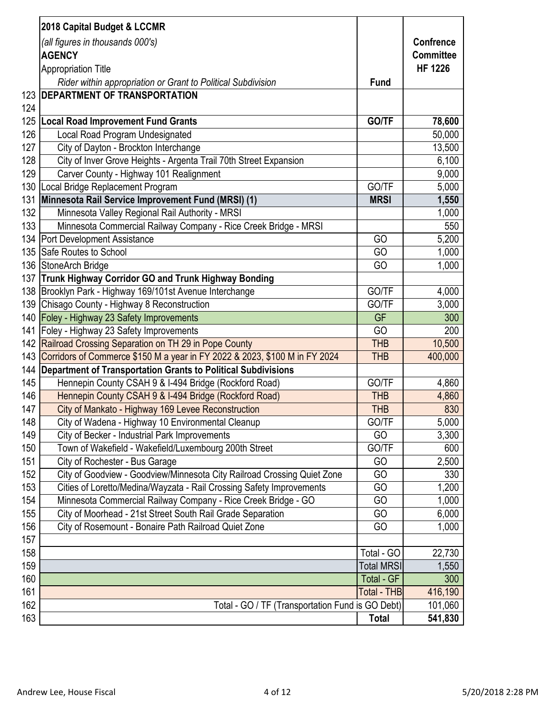|     | 2018 Capital Budget & LCCMR                                                    |                   |                  |
|-----|--------------------------------------------------------------------------------|-------------------|------------------|
|     | (all figures in thousands 000's)                                               |                   | <b>Confrence</b> |
|     | <b>AGENCY</b>                                                                  |                   | <b>Committee</b> |
|     | <b>Appropriation Title</b>                                                     |                   | <b>HF 1226</b>   |
|     | Rider within appropriation or Grant to Political Subdivision                   | <b>Fund</b>       |                  |
|     | 123 <b>DEPARTMENT OF TRANSPORTATION</b>                                        |                   |                  |
| 124 |                                                                                |                   |                  |
| 125 | <b>Local Road Improvement Fund Grants</b>                                      | GO/TF             | 78,600           |
| 126 | Local Road Program Undesignated                                                |                   | 50,000           |
| 127 | City of Dayton - Brockton Interchange                                          |                   | 13,500           |
| 128 | City of Inver Grove Heights - Argenta Trail 70th Street Expansion              |                   | 6,100            |
| 129 | Carver County - Highway 101 Realignment                                        |                   | 9,000            |
| 130 | Local Bridge Replacement Program                                               | GO/TF             | 5,000            |
| 131 | Minnesota Rail Service Improvement Fund (MRSI) (1)                             | <b>MRSI</b>       | 1,550            |
| 132 | Minnesota Valley Regional Rail Authority - MRSI                                |                   | 1,000            |
| 133 | Minnesota Commercial Railway Company - Rice Creek Bridge - MRSI                |                   | 550              |
|     | 134   Port Development Assistance                                              | GO                | 5,200            |
|     | 135 Safe Routes to School                                                      | GO                | 1,000            |
|     | 136 StoneArch Bridge                                                           | GO                | 1,000            |
|     | 137 Trunk Highway Corridor GO and Trunk Highway Bonding                        |                   |                  |
|     | 138 Brooklyn Park - Highway 169/101st Avenue Interchange                       | GO/TF             | 4,000            |
|     | 139 Chisago County - Highway 8 Reconstruction                                  | GO/TF             | 3,000            |
|     | 140 Foley - Highway 23 Safety Improvements                                     | <b>GF</b>         | 300              |
|     | 141 Foley - Highway 23 Safety Improvements                                     | GO                | 200              |
|     | 142 Railroad Crossing Separation on TH 29 in Pope County                       | <b>THB</b>        | 10,500           |
|     | 143 Corridors of Commerce \$150 M a year in FY 2022 & 2023, \$100 M in FY 2024 | <b>THB</b>        | 400,000          |
|     | 144   Department of Transportation Grants to Political Subdivisions            |                   |                  |
| 145 | Hennepin County CSAH 9 & I-494 Bridge (Rockford Road)                          | GO/TF             | 4,860            |
| 146 | Hennepin County CSAH 9 & I-494 Bridge (Rockford Road)                          | <b>THB</b>        | 4,860            |
| 147 | City of Mankato - Highway 169 Levee Reconstruction                             | THB               | 830              |
| 148 | City of Wadena - Highway 10 Environmental Cleanup                              | GO/TF             | 5,000            |
| 149 | City of Becker - Industrial Park Improvements                                  | GO                | 3,300            |
| 150 | Town of Wakefield - Wakefield/Luxembourg 200th Street                          | GO/TF             | 600              |
| 151 | City of Rochester - Bus Garage                                                 | GO                | 2,500            |
| 152 | City of Goodview - Goodview/Minnesota City Railroad Crossing Quiet Zone        | GO                | 330              |
| 153 | Cities of Loretto/Medina/Wayzata - Rail Crossing Safety Improvements           | GO                | 1,200            |
| 154 | Minnesota Commercial Railway Company - Rice Creek Bridge - GO                  | GO                | 1,000            |
| 155 | City of Moorhead - 21st Street South Rail Grade Separation                     | GO                | 6,000            |
| 156 | City of Rosemount - Bonaire Path Railroad Quiet Zone                           | GO                | 1,000            |
| 157 |                                                                                |                   |                  |
| 158 |                                                                                | Total - GO        | 22,730           |
| 159 |                                                                                | <b>Total MRSI</b> | 1,550            |
| 160 |                                                                                | Total - GF        | 300              |
| 161 |                                                                                | Total - THB       | 416,190          |
| 162 | Total - GO / TF (Transportation Fund is GO Debt)                               |                   | 101,060          |
| 163 |                                                                                | <b>Total</b>      | 541,830          |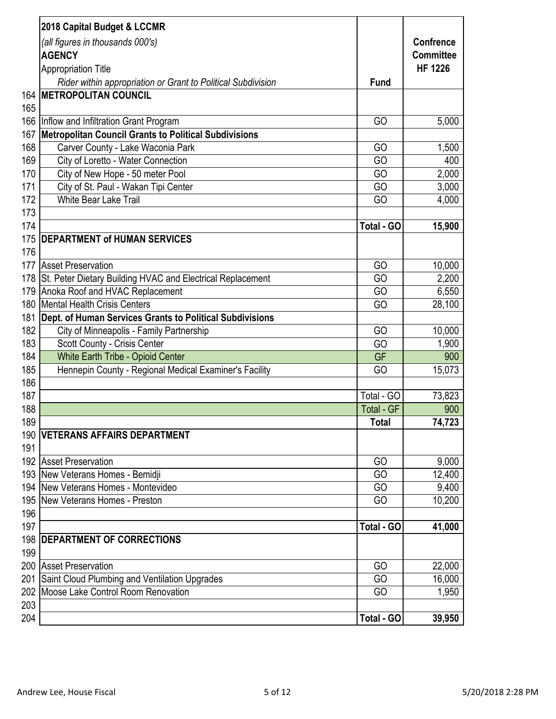|     | 2018 Capital Budget & LCCMR                                                             |              |                  |
|-----|-----------------------------------------------------------------------------------------|--------------|------------------|
|     | (all figures in thousands 000's)                                                        |              | <b>Confrence</b> |
|     | <b>AGENCY</b>                                                                           |              | <b>Committee</b> |
|     | <b>Appropriation Title</b>                                                              |              | <b>HF 1226</b>   |
|     | Rider within appropriation or Grant to Political Subdivision                            | <b>Fund</b>  |                  |
|     | <b>164   METROPOLITAN COUNCIL</b>                                                       |              |                  |
| 165 |                                                                                         |              |                  |
|     | 166 Inflow and Infiltration Grant Program                                               | GO           | 5,000            |
| 167 | <b>Metropolitan Council Grants to Political Subdivisions</b>                            |              |                  |
| 168 | Carver County - Lake Waconia Park                                                       | GO           | 1,500            |
| 169 | City of Loretto - Water Connection                                                      | GO           | 400              |
| 170 | City of New Hope - 50 meter Pool                                                        | GO           | 2,000            |
| 171 | City of St. Paul - Wakan Tipi Center                                                    | GO           | 3,000            |
| 172 | White Bear Lake Trail                                                                   | GO           | 4,000            |
| 173 |                                                                                         |              |                  |
| 174 |                                                                                         | Total - GO   | 15,900           |
|     | 175   DEPARTMENT of HUMAN SERVICES                                                      |              |                  |
| 176 |                                                                                         |              |                  |
| 177 | <b>Asset Preservation</b>                                                               | GO           | 10,000           |
|     | 178 St. Peter Dietary Building HVAC and Electrical Replacement                          | GO           | 2,200            |
|     | 179 Anoka Roof and HVAC Replacement                                                     | GO           | 6,550            |
|     | 180 Mental Health Crisis Centers                                                        | GO           | 28,100           |
| 181 | Dept. of Human Services Grants to Political Subdivisions                                |              |                  |
| 182 | City of Minneapolis - Family Partnership                                                | GO           | 10,000           |
| 183 | Scott County - Crisis Center                                                            | GO           | 1,900            |
| 184 | <b>White Earth Tribe - Opioid Center</b>                                                | <b>GF</b>    | 900              |
| 185 | Hennepin County - Regional Medical Examiner's Facility                                  | GO           | 15,073           |
| 186 |                                                                                         |              |                  |
| 187 |                                                                                         | Total - GO   | 73,823           |
| 188 |                                                                                         | Total - GF   | 900              |
| 189 |                                                                                         | <b>Total</b> | 74,723           |
|     | 190 VETERANS AFFAIRS DEPARTMENT                                                         |              |                  |
| 191 |                                                                                         |              |                  |
|     | 192 Asset Preservation                                                                  | GO<br>GO     | 9,000            |
|     | 193 New Veterans Homes - Bemidji<br>194   New Veterans Homes - Montevideo               | GO           | 12,400           |
|     | 195 New Veterans Homes - Preston                                                        | GO           | 9,400<br>10,200  |
| 196 |                                                                                         |              |                  |
| 197 |                                                                                         | Total - GO   |                  |
|     |                                                                                         |              | 41,000           |
| 199 | 198   DEPARTMENT OF CORRECTIONS                                                         |              |                  |
|     | 200 Asset Preservation                                                                  | GO           | 22,000           |
| 201 |                                                                                         | GO           | 16,000           |
|     | Saint Cloud Plumbing and Ventilation Upgrades<br>202 Moose Lake Control Room Renovation | GO           | 1,950            |
| 203 |                                                                                         |              |                  |
| 204 |                                                                                         | Total - GO   | 39,950           |
|     |                                                                                         |              |                  |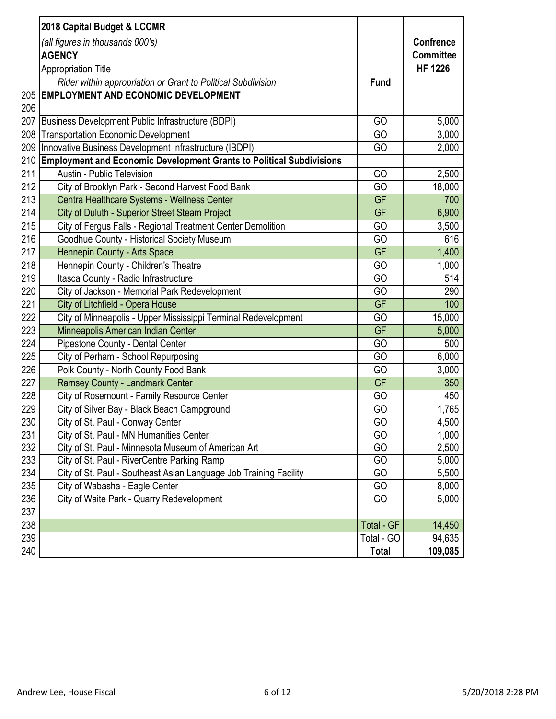|     | 2018 Capital Budget & LCCMR                                              |              |                  |
|-----|--------------------------------------------------------------------------|--------------|------------------|
|     | (all figures in thousands 000's)                                         |              | <b>Confrence</b> |
|     | <b>AGENCY</b>                                                            |              | <b>Committee</b> |
|     | <b>Appropriation Title</b>                                               |              | <b>HF 1226</b>   |
|     | Rider within appropriation or Grant to Political Subdivision             | <b>Fund</b>  |                  |
|     | 205 EMPLOYMENT AND ECONOMIC DEVELOPMENT                                  |              |                  |
| 206 |                                                                          |              |                  |
|     | 207 Business Development Public Infrastructure (BDPI)                    | GO           | 5,000            |
| 208 | <b>Transportation Economic Development</b>                               | GO           | 3,000            |
|     | 209   Innovative Business Development Infrastructure (IBDPI)             | GO           | 2,000            |
|     | 210 Employment and Economic Development Grants to Political Subdivisions |              |                  |
| 211 | <b>Austin - Public Television</b>                                        | GO           | 2,500            |
| 212 | City of Brooklyn Park - Second Harvest Food Bank                         | GO           | 18,000           |
| 213 | Centra Healthcare Systems - Wellness Center                              | GF           | 700              |
| 214 | City of Duluth - Superior Street Steam Project                           | GF           | 6,900            |
| 215 | City of Fergus Falls - Regional Treatment Center Demolition              | GO           | 3,500            |
| 216 | Goodhue County - Historical Society Museum                               | GO           | 616              |
| 217 | Hennepin County - Arts Space                                             | GF           | 1,400            |
| 218 | Hennepin County - Children's Theatre                                     | GO           | 1,000            |
| 219 | Itasca County - Radio Infrastructure                                     | GO           | 514              |
| 220 | City of Jackson - Memorial Park Redevelopment                            | GO           | 290              |
| 221 | City of Litchfield - Opera House                                         | GF           | 100              |
| 222 | City of Minneapolis - Upper Mississippi Terminal Redevelopment           | GO           | 15,000           |
| 223 | Minneapolis American Indian Center                                       | GF           | 5,000            |
| 224 | Pipestone County - Dental Center                                         | GO           | 500              |
| 225 | City of Perham - School Repurposing                                      | GO           | 6,000            |
| 226 | Polk County - North County Food Bank                                     | GO           | 3,000            |
| 227 | Ramsey County - Landmark Center                                          | <b>GF</b>    | 350              |
| 228 | City of Rosemount - Family Resource Center                               | GO           | 450              |
| 229 | City of Silver Bay - Black Beach Campground                              | GO           | 1,765            |
| 230 | City of St. Paul - Conway Center                                         | GO           | 4,500            |
| 231 | City of St. Paul - MN Humanities Center                                  | GO           | 1,000            |
| 232 | City of St. Paul - Minnesota Museum of American Art                      | GO           | 2,500            |
| 233 | City of St. Paul - RiverCentre Parking Ramp                              | GO           | 5,000            |
| 234 | City of St. Paul - Southeast Asian Language Job Training Facility        | GO           | 5,500            |
| 235 | City of Wabasha - Eagle Center                                           | GO           | 8,000            |
| 236 | City of Waite Park - Quarry Redevelopment                                | GO           | 5,000            |
| 237 |                                                                          |              |                  |
| 238 |                                                                          | Total - GF   | 14,450           |
| 239 |                                                                          | Total - GO   | 94,635           |
| 240 |                                                                          | <b>Total</b> | 109,085          |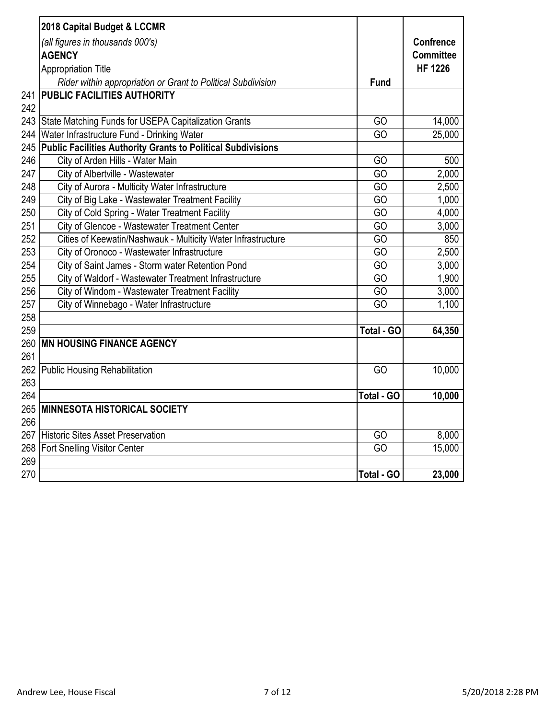|     | 2018 Capital Budget & LCCMR                                         |                   |                                      |
|-----|---------------------------------------------------------------------|-------------------|--------------------------------------|
|     | (all figures in thousands 000's)<br><b>AGENCY</b>                   |                   | <b>Confrence</b><br><b>Committee</b> |
|     | <b>Appropriation Title</b>                                          |                   | <b>HF 1226</b>                       |
|     | Rider within appropriation or Grant to Political Subdivision        | <b>Fund</b>       |                                      |
| 241 | <b>PUBLIC FACILITIES AUTHORITY</b>                                  |                   |                                      |
| 242 |                                                                     |                   |                                      |
| 243 | State Matching Funds for USEPA Capitalization Grants                | GO                | 14,000                               |
| 244 | Water Infrastructure Fund - Drinking Water                          | GO                | 25,000                               |
| 245 | <b>Public Facilities Authority Grants to Political Subdivisions</b> |                   |                                      |
| 246 | City of Arden Hills - Water Main                                    | GO                | 500                                  |
| 247 | City of Albertville - Wastewater                                    | GO                | 2,000                                |
| 248 | City of Aurora - Multicity Water Infrastructure                     | GO                | 2,500                                |
| 249 | City of Big Lake - Wastewater Treatment Facility                    | GO                | 1,000                                |
| 250 | City of Cold Spring - Water Treatment Facility                      | GO                | 4,000                                |
| 251 | City of Glencoe - Wastewater Treatment Center                       | GO                | 3,000                                |
| 252 | Cities of Keewatin/Nashwauk - Multicity Water Infrastructure        | GO                | 850                                  |
| 253 | City of Oronoco - Wastewater Infrastructure                         | GO                | 2,500                                |
| 254 | City of Saint James - Storm water Retention Pond                    | GO                | 3,000                                |
| 255 | City of Waldorf - Wastewater Treatment Infrastructure               | GO                | 1,900                                |
| 256 | City of Windom - Wastewater Treatment Facility                      | GO                | 3,000                                |
| 257 | City of Winnebago - Water Infrastructure                            | GO                | 1,100                                |
| 258 |                                                                     |                   |                                      |
| 259 |                                                                     | <b>Total - GO</b> | 64,350                               |
| 260 | <b>MN HOUSING FINANCE AGENCY</b>                                    |                   |                                      |
| 261 |                                                                     |                   |                                      |
| 262 | <b>Public Housing Rehabilitation</b>                                | GO                | 10,000                               |
| 263 |                                                                     |                   |                                      |
| 264 |                                                                     | Total - GO        | 10,000                               |
|     | 265   MINNESOTA HISTORICAL SOCIETY                                  |                   |                                      |
| 266 |                                                                     |                   |                                      |
|     | 267 Historic Sites Asset Preservation                               | GO                | 8,000                                |
|     | 268   Fort Snelling Visitor Center                                  | GO                | 15,000                               |
| 269 |                                                                     |                   |                                      |
| 270 |                                                                     | <b>Total - GO</b> | 23,000                               |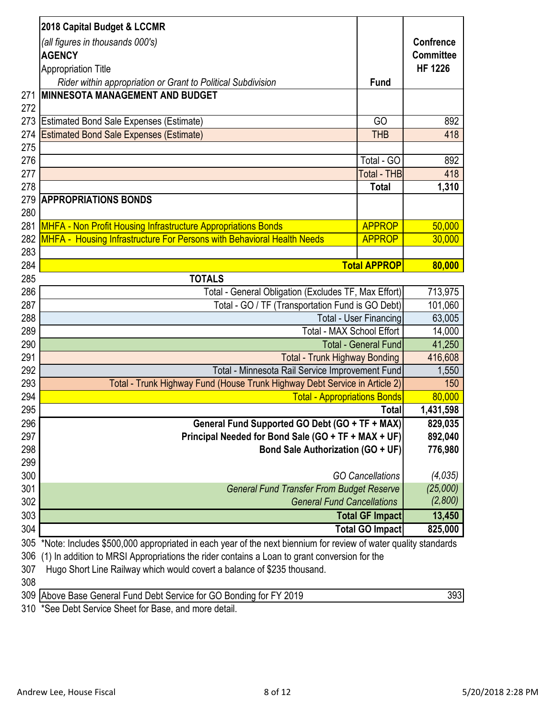|               | 2018 Capital Budget & LCCMR                                                                                    |                               |                  |
|---------------|----------------------------------------------------------------------------------------------------------------|-------------------------------|------------------|
|               | (all figures in thousands 000's)                                                                               |                               | <b>Confrence</b> |
|               | <b>AGENCY</b>                                                                                                  |                               | <b>Committee</b> |
|               | <b>Appropriation Title</b>                                                                                     |                               | <b>HF 1226</b>   |
|               | Rider within appropriation or Grant to Political Subdivision                                                   | <b>Fund</b>                   |                  |
| 271           | <b>MINNESOTA MANAGEMENT AND BUDGET</b>                                                                         |                               |                  |
| 272           |                                                                                                                |                               |                  |
| 273           | <b>Estimated Bond Sale Expenses (Estimate)</b>                                                                 | GO                            | 892              |
| 274           | <b>Estimated Bond Sale Expenses (Estimate)</b>                                                                 | <b>THB</b>                    | 418              |
| 275           |                                                                                                                |                               |                  |
| 276           |                                                                                                                | Total - GO                    | 892              |
| 277           |                                                                                                                | Total - THB                   | 418              |
| 278           |                                                                                                                | <b>Total</b>                  | 1,310            |
| 279           | <b>APPROPRIATIONS BONDS</b>                                                                                    |                               |                  |
| 280           |                                                                                                                |                               |                  |
| 281           | MHFA - Non Profit Housing Infrastructure Appropriations Bonds                                                  | <b>APPROP</b>                 | 50,000           |
| 282           | MHFA - Housing Infrastructure For Persons with Behavioral Health Needs                                         | <b>APPROP</b>                 | 30,000           |
| 283           |                                                                                                                |                               |                  |
| 284           |                                                                                                                | <b>Total APPROP</b>           | 80,000           |
| 285           | <b>TOTALS</b>                                                                                                  |                               |                  |
| 286           | Total - General Obligation (Excludes TF, Max Effort)                                                           |                               | 713,975          |
| 287           | Total - GO / TF (Transportation Fund is GO Debt)                                                               |                               | 101,060          |
| 288           |                                                                                                                | <b>Total - User Financing</b> | 63,005           |
| 289           | Total - MAX School Effort                                                                                      |                               | 14,000           |
| 290           |                                                                                                                | <b>Total - General Fund</b>   | 41,250           |
| 291           | <b>Total - Trunk Highway Bonding</b>                                                                           |                               | 416,608          |
| 292           | Total - Minnesota Rail Service Improvement Fund                                                                |                               | 1,550            |
| 293           | Total - Trunk Highway Fund (House Trunk Highway Debt Service in Article 2)                                     |                               | 150              |
| 294           | <b>Total - Appropriations Bonds</b>                                                                            |                               | 80,000           |
| 295           |                                                                                                                | Total                         | 1,431,598        |
| 296           | General Fund Supported GO Debt (GO + TF + MAX)                                                                 |                               | 829,035          |
| 297           | Principal Needed for Bond Sale (GO + TF + MAX + UF)                                                            |                               | 892,040          |
| 298           | <b>Bond Sale Authorization (GO + UF)</b>                                                                       |                               | 776,980          |
| 299           |                                                                                                                |                               |                  |
| 300           |                                                                                                                | <b>GO Cancellations</b>       | (4,035)          |
| 301           | <b>General Fund Transfer From Budget Reserve</b>                                                               |                               | (25,000)         |
| 302           | <b>General Fund Cancellations</b>                                                                              |                               | (2,800)          |
| 303           |                                                                                                                | <b>Total GF Impact</b>        | 13,450           |
| 304           |                                                                                                                | <b>Total GO Impact</b>        | 825,000          |
| 305           | *Note: Includes \$500,000 appropriated in each year of the next biennium for review of water quality standards |                               |                  |
| 306           | (1) In addition to MRSI Appropriations the rider contains a Loan to grant conversion for the                   |                               |                  |
| 307           | Hugo Short Line Railway which would covert a balance of \$235 thousand.                                        |                               |                  |
| 308<br>$\sim$ |                                                                                                                |                               | $\sim$           |

309 Above Base General Fund Debt Service for GO Bonding for FY 2019 \*See Debt Service Sheet for Base, and more detail.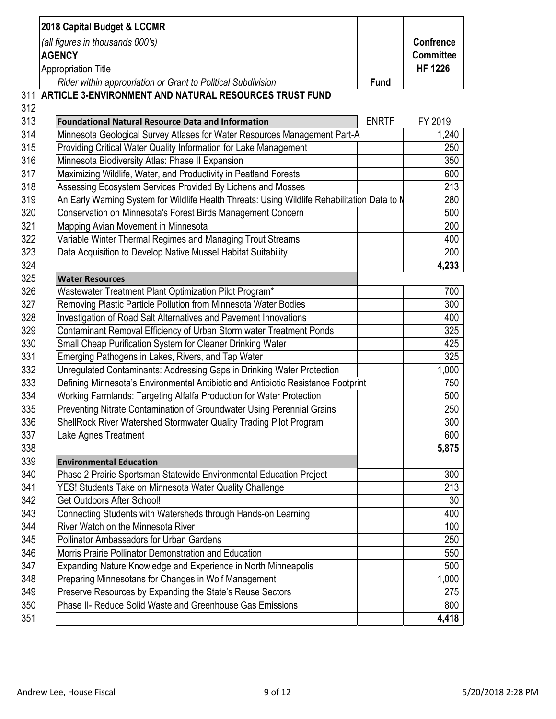|     | (all figures in thousands 000's)<br><b>AGENCY</b>                                            |              | <b>Confrence</b><br><b>Committee</b> |
|-----|----------------------------------------------------------------------------------------------|--------------|--------------------------------------|
|     | <b>Appropriation Title</b>                                                                   |              | <b>HF 1226</b>                       |
|     | Rider within appropriation or Grant to Political Subdivision                                 | <b>Fund</b>  |                                      |
|     | 311 ARTICLE 3-ENVIRONMENT AND NATURAL RESOURCES TRUST FUND                                   |              |                                      |
| 312 |                                                                                              |              |                                      |
| 313 | <b>Foundational Natural Resource Data and Information</b>                                    | <b>ENRTF</b> | FY 2019                              |
| 314 | Minnesota Geological Survey Atlases for Water Resources Management Part-A                    |              | 1,240                                |
| 315 | Providing Critical Water Quality Information for Lake Management                             |              | 250                                  |
| 316 | Minnesota Biodiversity Atlas: Phase II Expansion                                             |              | 350                                  |
| 317 | Maximizing Wildlife, Water, and Productivity in Peatland Forests                             |              | 600                                  |
| 318 | Assessing Ecosystem Services Provided By Lichens and Mosses                                  |              | 213                                  |
| 319 | An Early Warning System for Wildlife Health Threats: Using Wildlife Rehabilitation Data to N |              | 280                                  |
| 320 | Conservation on Minnesota's Forest Birds Management Concern                                  |              | 500                                  |
| 321 | Mapping Avian Movement in Minnesota                                                          |              | 200                                  |
| 322 | Variable Winter Thermal Regimes and Managing Trout Streams                                   |              | 400                                  |
| 323 | Data Acquisition to Develop Native Mussel Habitat Suitability                                |              | 200                                  |
| 324 |                                                                                              |              | 4,233                                |
| 325 | <b>Water Resources</b>                                                                       |              |                                      |
| 326 | Wastewater Treatment Plant Optimization Pilot Program*                                       |              | 700                                  |
| 327 | Removing Plastic Particle Pollution from Minnesota Water Bodies                              |              | 300                                  |
| 328 | Investigation of Road Salt Alternatives and Pavement Innovations                             |              | 400                                  |
| 329 | Contaminant Removal Efficiency of Urban Storm water Treatment Ponds                          |              | 325                                  |
| 330 | Small Cheap Purification System for Cleaner Drinking Water                                   |              | 425                                  |
| 331 | Emerging Pathogens in Lakes, Rivers, and Tap Water                                           |              | 325                                  |
| 332 | Unregulated Contaminants: Addressing Gaps in Drinking Water Protection                       |              | 1,000                                |
| 333 | Defining Minnesota's Environmental Antibiotic and Antibiotic Resistance Footprint            |              | 750                                  |
| 334 | Working Farmlands: Targeting Alfalfa Production for Water Protection                         |              | 500                                  |
| 335 | Preventing Nitrate Contamination of Groundwater Using Perennial Grains                       |              | 250                                  |
| 336 | ShellRock River Watershed Stormwater Quality Trading Pilot Program                           |              | 300                                  |
| 337 | Lake Agnes Treatment                                                                         |              | 600                                  |
| 338 |                                                                                              |              | 5,875                                |
| 339 | <b>Environmental Education</b>                                                               |              |                                      |
| 340 | Phase 2 Prairie Sportsman Statewide Environmental Education Project                          |              | 300                                  |
| 341 | YES! Students Take on Minnesota Water Quality Challenge                                      |              | 213                                  |
| 342 | <b>Get Outdoors After School!</b>                                                            |              | 30                                   |
| 343 | Connecting Students with Watersheds through Hands-on Learning                                |              | 400                                  |
| 344 | River Watch on the Minnesota River                                                           |              | 100                                  |
| 345 | <b>Pollinator Ambassadors for Urban Gardens</b>                                              |              | 250                                  |
| 346 | Morris Prairie Pollinator Demonstration and Education                                        |              | 550                                  |
| 347 | Expanding Nature Knowledge and Experience in North Minneapolis                               |              | 500                                  |
| 348 | Preparing Minnesotans for Changes in Wolf Management                                         |              | 1,000                                |
| 349 | Preserve Resources by Expanding the State's Reuse Sectors                                    |              | 275                                  |
| 350 | Phase II- Reduce Solid Waste and Greenhouse Gas Emissions                                    |              | 800                                  |
| 351 |                                                                                              |              | 4,418                                |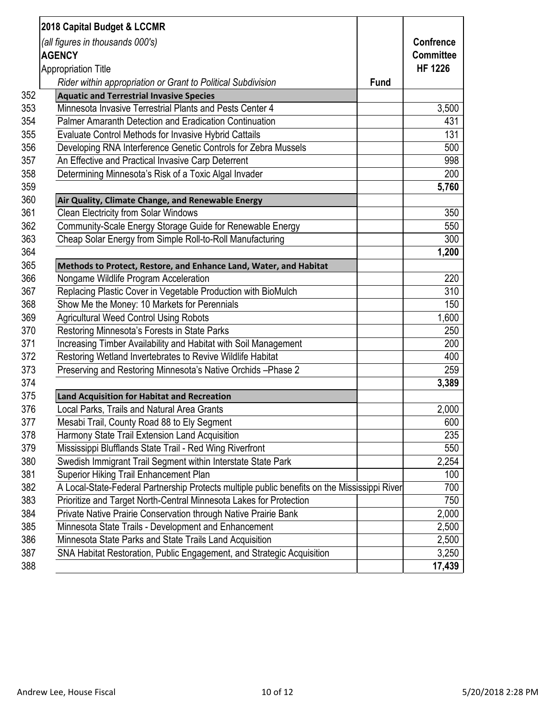|     | 2018 Capital Budget & LCCMR                                                                  |                  |
|-----|----------------------------------------------------------------------------------------------|------------------|
|     | (all figures in thousands 000's)                                                             | <b>Confrence</b> |
|     | <b>AGENCY</b>                                                                                | <b>Committee</b> |
|     | <b>Appropriation Title</b>                                                                   | <b>HF 1226</b>   |
|     | Rider within appropriation or Grant to Political Subdivision<br><b>Fund</b>                  |                  |
| 352 | <b>Aquatic and Terrestrial Invasive Species</b>                                              |                  |
| 353 | Minnesota Invasive Terrestrial Plants and Pests Center 4                                     | 3,500            |
| 354 | Palmer Amaranth Detection and Eradication Continuation                                       | 431              |
| 355 | Evaluate Control Methods for Invasive Hybrid Cattails                                        | 131              |
| 356 | Developing RNA Interference Genetic Controls for Zebra Mussels                               | 500              |
| 357 | An Effective and Practical Invasive Carp Deterrent                                           | 998              |
| 358 | Determining Minnesota's Risk of a Toxic Algal Invader                                        | 200              |
| 359 |                                                                                              | 5,760            |
| 360 | Air Quality, Climate Change, and Renewable Energy                                            |                  |
| 361 | <b>Clean Electricity from Solar Windows</b>                                                  | 350              |
| 362 | Community-Scale Energy Storage Guide for Renewable Energy                                    | 550              |
| 363 | Cheap Solar Energy from Simple Roll-to-Roll Manufacturing                                    | 300              |
| 364 |                                                                                              | 1,200            |
| 365 | Methods to Protect, Restore, and Enhance Land, Water, and Habitat                            |                  |
| 366 | Nongame Wildlife Program Acceleration                                                        | 220              |
| 367 | Replacing Plastic Cover in Vegetable Production with BioMulch                                | 310              |
| 368 | Show Me the Money: 10 Markets for Perennials                                                 | 150              |
| 369 | <b>Agricultural Weed Control Using Robots</b>                                                | 1,600            |
| 370 | Restoring Minnesota's Forests in State Parks                                                 | 250              |
| 371 | Increasing Timber Availability and Habitat with Soil Management                              | 200              |
| 372 | Restoring Wetland Invertebrates to Revive Wildlife Habitat                                   | 400              |
| 373 | Preserving and Restoring Minnesota's Native Orchids-Phase 2                                  | 259              |
| 374 |                                                                                              | 3,389            |
| 375 | <b>Land Acquisition for Habitat and Recreation</b>                                           |                  |
| 376 | Local Parks, Trails and Natural Area Grants                                                  | 2,000            |
| 377 | Mesabi Trail, County Road 88 to Ely Segment                                                  | 600              |
| 378 | Harmony State Trail Extension Land Acquisition                                               | 235              |
| 379 | Mississippi Blufflands State Trail - Red Wing Riverfront                                     | 550              |
| 380 | Swedish Immigrant Trail Segment within Interstate State Park                                 | 2,254            |
| 381 | <b>Superior Hiking Trail Enhancement Plan</b>                                                | 100              |
| 382 | A Local-State-Federal Partnership Protects multiple public benefits on the Mississippi River | 700              |
| 383 | Prioritize and Target North-Central Minnesota Lakes for Protection                           | 750              |
| 384 | Private Native Prairie Conservation through Native Prairie Bank                              | 2,000            |
| 385 | Minnesota State Trails - Development and Enhancement                                         | 2,500            |
| 386 | Minnesota State Parks and State Trails Land Acquisition                                      | 2,500            |
| 387 | SNA Habitat Restoration, Public Engagement, and Strategic Acquisition                        | 3,250            |
| 388 |                                                                                              | 17,439           |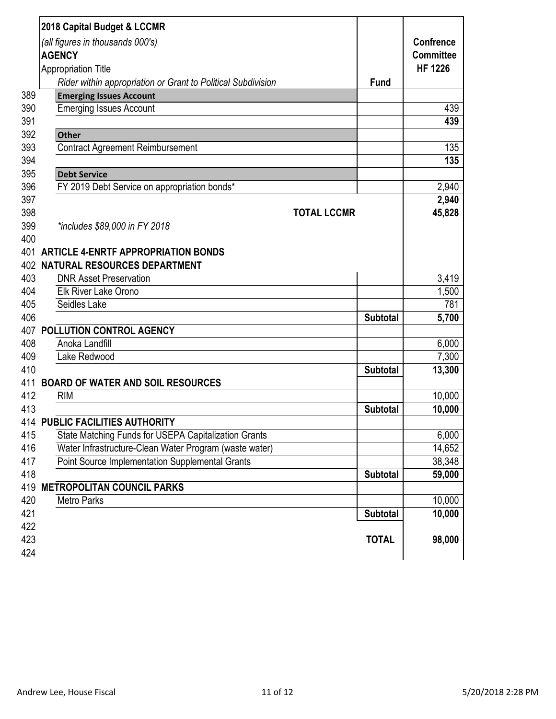|     | 2018 Capital Budget & LCCMR                                  |                 |                  |
|-----|--------------------------------------------------------------|-----------------|------------------|
|     | (all figures in thousands 000's)                             |                 | <b>Confrence</b> |
|     | <b>AGENCY</b>                                                |                 | <b>Committee</b> |
|     | <b>Appropriation Title</b>                                   |                 | <b>HF 1226</b>   |
|     | Rider within appropriation or Grant to Political Subdivision | <b>Fund</b>     |                  |
| 389 | <b>Emerging Issues Account</b>                               |                 |                  |
| 390 | <b>Emerging Issues Account</b>                               |                 | 439              |
| 391 |                                                              |                 | 439              |
| 392 | <b>Other</b>                                                 |                 |                  |
| 393 | <b>Contract Agreement Reimbursement</b>                      |                 | 135              |
| 394 |                                                              |                 | 135              |
| 395 | <b>Debt Service</b>                                          |                 |                  |
| 396 | FY 2019 Debt Service on appropriation bonds*                 |                 | 2,940            |
| 397 |                                                              |                 | 2,940            |
| 398 | <b>TOTAL LCCMR</b>                                           |                 | 45,828           |
| 399 | *includes \$89,000 in FY 2018                                |                 |                  |
| 400 |                                                              |                 |                  |
|     | 401 ARTICLE 4-ENRTF APPROPRIATION BONDS                      |                 |                  |
|     | <b>402 NATURAL RESOURCES DEPARTMENT</b>                      |                 |                  |
| 403 | <b>DNR Asset Preservation</b>                                |                 | 3,419            |
| 404 | <b>Elk River Lake Orono</b>                                  |                 | 1,500            |
| 405 | Seidles Lake                                                 |                 | 781              |
| 406 |                                                              | <b>Subtotal</b> | 5,700            |
|     | <b>407 POLLUTION CONTROL AGENCY</b>                          |                 |                  |
| 408 | Anoka Landfill                                               |                 | 6,000            |
| 409 | Lake Redwood                                                 |                 | 7,300            |
| 410 |                                                              | <b>Subtotal</b> | 13,300           |
| 411 | <b>BOARD OF WATER AND SOIL RESOURCES</b>                     |                 |                  |
| 412 | <b>RIM</b>                                                   |                 | 10,000           |
| 413 |                                                              | <b>Subtotal</b> | 10,000           |
|     | <b>414 PUBLIC FACILITIES AUTHORITY</b>                       |                 |                  |
| 415 | State Matching Funds for USEPA Capitalization Grants         |                 | 6,000            |
| 416 | Water Infrastructure-Clean Water Program (waste water)       |                 | 14,652           |
| 417 | <b>Point Source Implementation Supplemental Grants</b>       |                 | 38,348           |
| 418 |                                                              | <b>Subtotal</b> | 59,000           |
|     | <b>419 METROPOLITAN COUNCIL PARKS</b>                        |                 |                  |
| 420 | <b>Metro Parks</b>                                           |                 | 10,000           |
| 421 |                                                              | <b>Subtotal</b> | 10,000           |
| 422 |                                                              |                 |                  |
| 423 |                                                              | <b>TOTAL</b>    | 98,000           |
| 424 |                                                              |                 |                  |